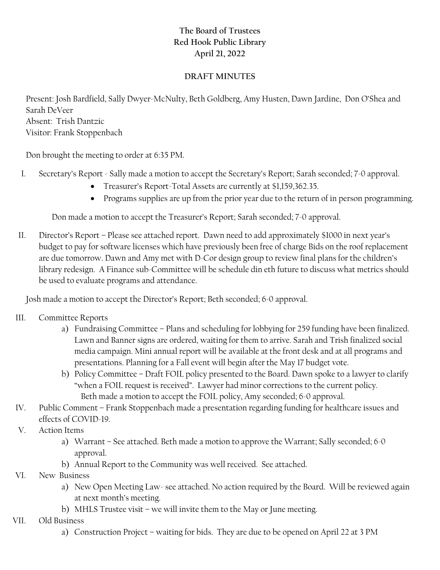## **The Board of Trustees Red Hook Public Library April 21, 2022**

## **DRAFT MINUTES**

Present: Josh Bardfield, Sally Dwyer-McNulty, Beth Goldberg, Amy Husten, Dawn Jardine, Don O'Shea and Sarah DeVeer Absent: Trish Dantzic Visitor: Frank Stoppenbach

Don brought the meeting to order at 6:35 PM.

- I. Secretary's Report Sally made a motion to accept the Secretary's Report; Sarah seconded; 7-0 approval.
	- Treasurer's Report-Total Assets are currently at \$1,159,362.35.
	- Programs supplies are up from the prior year due to the return of in person programming.

Don made a motion to accept the Treasurer's Report; Sarah seconded; 7-0 approval.

II. Director's Report – Please see attached report. Dawn need to add approximately \$1000 in next year's budget to pay for software licenses which have previously been free of charge Bids on the roof replacement are due tomorrow. Dawn and Amy met with D-Cor design group to review final plans for the children's library redesign. A Finance sub-Committee will be schedule din eth future to discuss what metrics should be used to evaluate programs and attendance.

Josh made a motion to accept the Director's Report; Beth seconded; 6-0 approval.

- III. Committee Reports
	- a) Fundraising Committee Plans and scheduling for lobbying for 259 funding have been finalized. Lawn and Banner signs are ordered, waiting for them to arrive. Sarah and Trish finalized social media campaign. Mini annual report will be available at the front desk and at all programs and presentations. Planning for a Fall event will begin after the May 17 budget vote.
	- b) Policy Committee Draft FOIL policy presented to the Board. Dawn spoke to a lawyer to clarify "when a FOIL request is received". Lawyer had minor corrections to the current policy. Beth made a motion to accept the FOIL policy, Amy seconded; 6-0 approval.
- IV. Public Comment Frank Stoppenbach made a presentation regarding funding for healthcare issues and effects of COVID-19.
- V. Action Items
	- a) Warrant See attached. Beth made a motion to approve the Warrant; Sally seconded; 6-0 approval.
	- b) Annual Report to the Community was well received. See attached.
- VI. New Business
	- a) New Open Meeting Law- see attached. No action required by the Board. Will be reviewed again at next month's meeting.
	- b) MHLS Trustee visit we will invite them to the May or June meeting.
- VII. Old Business
	- a) Construction Project waiting for bids. They are due to be opened on April 22 at 3 PM